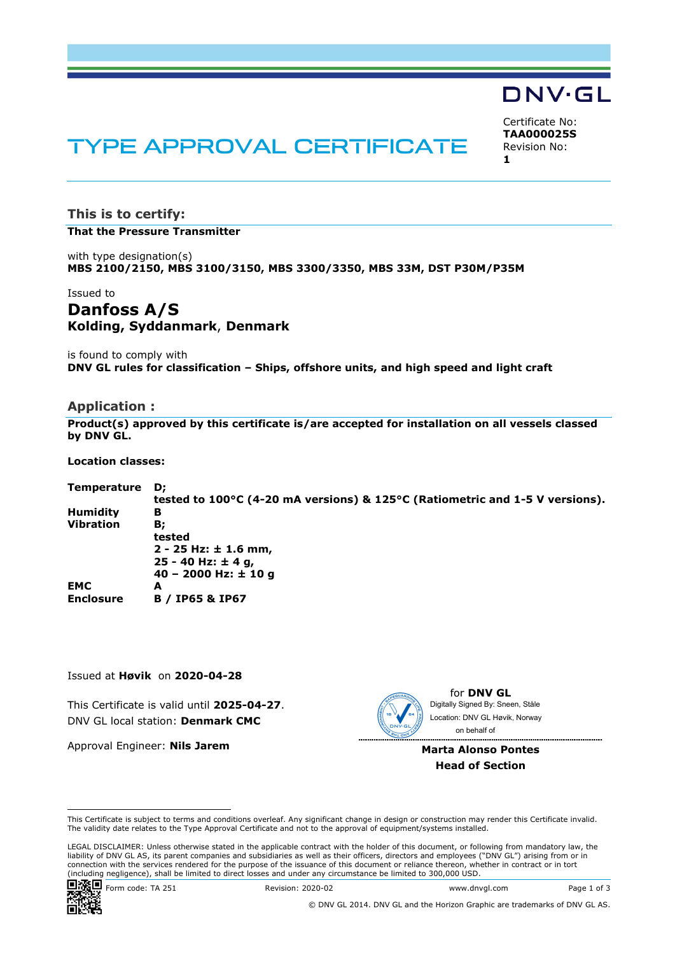## DNV·GL

# TYPE APPROVAL CERTIFICATE

Certificate No: **TAA000025S** Revision No: **1** 

## **This is to certify:**

**That the Pressure Transmitter**

with type designation(s) **MBS 2100/2150, MBS 3100/3150, MBS 3300/3350, MBS 33M, DST P30M/P35M**

Issued to

## **Danfoss A/S Kolding, Syddanmark**, **Denmark**

is found to comply with **DNV GL rules for classification – Ships, offshore units, and high speed and light craft**

#### **Application :**

**Product(s) approved by this certificate is/are accepted for installation on all vessels classed by DNV GL.** 

**Location classes:** 

| Temperature      | D;                                                                           |
|------------------|------------------------------------------------------------------------------|
|                  | tested to 100°C (4-20 mA versions) & 125°C (Ratiometric and 1-5 V versions). |
| <b>Humidity</b>  | в                                                                            |
| Vibration        | В;                                                                           |
|                  | tested                                                                       |
|                  | $2 - 25$ Hz: $\pm$ 1.6 mm,                                                   |
|                  | 25 - 40 Hz: $\pm$ 4 g,                                                       |
|                  | $40 - 2000$ Hz: $\pm 10$ g                                                   |
| <b>EMC</b>       | A                                                                            |
| <b>Enclosure</b> | <b>B</b> / IP65 & IP67                                                       |

Issued at **Høvik** on **2020-04-28**

This Certificate is valid until **2025-04-27**. DNV GL local station: **Denmark CMC**

Approval Engineer: **Nils Jarem**



for **DNV GL** Digitally Signed By: Sneen, Ståle Location: DNV GL Høvik, Norway on behalf of

**Marta Alonso Pontes Head of Section**

 LEGAL DISCLAIMER: Unless otherwise stated in the applicable contract with the holder of this document, or following from mandatory law, the liability of DNV GL AS, its parent companies and subsidiaries as well as their officers, directors and employees ("DNV GL") arising from or in connection with the services rendered for the purpose of the issuance of this document or reliance thereon, whether in contract or in tort<br>(including negligence), shall be limited to direct losses and under any circumstanc



© DNV GL 2014. DNV GL and the Horizon Graphic are trademarks of DNV GL AS.

This Certificate is subject to terms and conditions overleaf. Any significant change in design or construction may render this Certificate invalid. The validity date relates to the Type Approval Certificate and not to the approval of equipment/systems installed.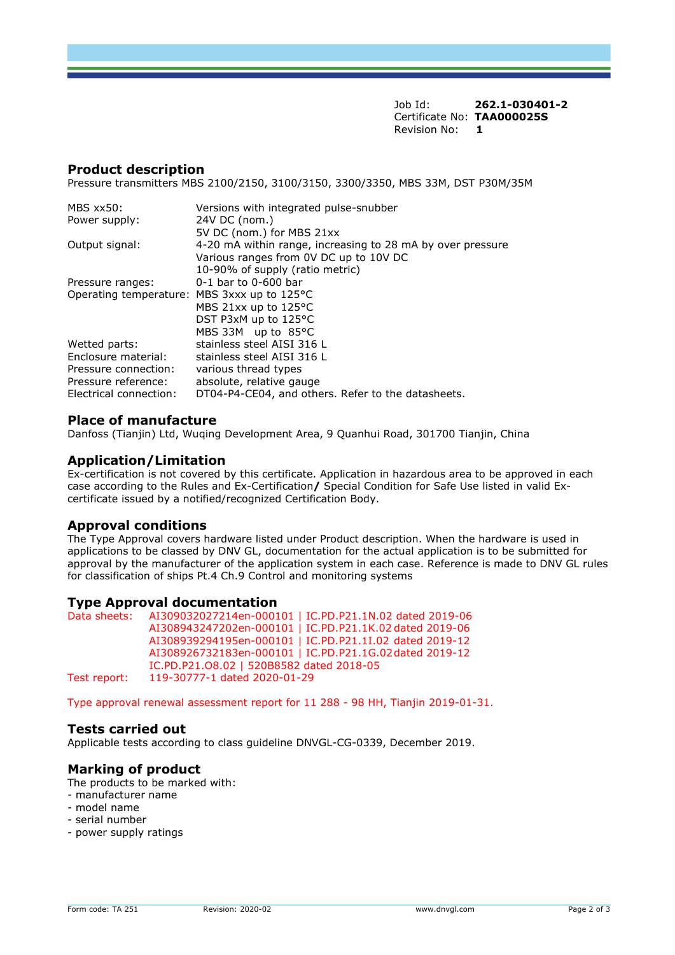Job Id: **262.1-030401-2** Certificate No: **TAA000025S** Revision No: **1** 

#### **Product description**

Pressure transmitters MBS 2100/2150, 3100/3150, 3300/3350, MBS 33M, DST P30M/35M

| MBS xx50:                                    | Versions with integrated pulse-snubber                     |
|----------------------------------------------|------------------------------------------------------------|
| Power supply:                                | 24V DC (nom.)                                              |
|                                              | 5V DC (nom.) for MBS 21xx                                  |
| Output signal:                               | 4-20 mA within range, increasing to 28 mA by over pressure |
|                                              | Various ranges from OV DC up to 10V DC                     |
|                                              | 10-90% of supply (ratio metric)                            |
| Pressure ranges:                             | 0-1 bar to 0-600 bar                                       |
| Operating temperature: MBS 3xxx up to 125 °C |                                                            |
|                                              | MBS 21xx up to 125°C                                       |
|                                              | DST P3xM up to 125°C                                       |
|                                              | MBS 33M up to 85°C                                         |
| Wetted parts:                                | stainless steel AISI 316 L                                 |
| Enclosure material:                          | stainless steel AISI 316 L                                 |
| Pressure connection:                         | various thread types                                       |
| Pressure reference:                          | absolute, relative gauge                                   |
| Electrical connection:                       | DT04-P4-CE04, and others. Refer to the datasheets.         |

#### **Place of manufacture**

Danfoss (Tianjin) Ltd, Wuqing Development Area, 9 Quanhui Road, 301700 Tianjin, China

#### **Application/Limitation**

Ex-certification is not covered by this certificate. Application in hazardous area to be approved in each case according to the Rules and Ex-Certification**/** Special Condition for Safe Use listed in valid Excertificate issued by a notified/recognized Certification Body.

#### **Approval conditions**

The Type Approval covers hardware listed under Product description. When the hardware is used in applications to be classed by DNV GL, documentation for the actual application is to be submitted for approval by the manufacturer of the application system in each case. Reference is made to DNV GL rules for classification of ships Pt.4 Ch.9 Control and monitoring systems

#### **Type Approval documentation**

Data sheets: AI309032027214en-000101 | IC.PD.P21.1N.02 dated 2019-06 AI308943247202en-000101 | IC.PD.P21.1K.02 dated 2019-06 AI308939294195en-000101 | IC.PD.P21.1I.02 dated 2019-12 AI308926732183en-000101 | IC.PD.P21.1G.02 dated 2019-12 IC.PD.P21.O8.02 | 520B8582 dated 2018-05 Test report: 119-30777-1 dated 2020-01-29

Type approval renewal assessment report for 11 288 - 98 HH, Tianjin 2019-01-31.

#### **Tests carried out**

Applicable tests according to class guideline DNVGL-CG-0339, December 2019.

#### **Marking of product**

The products to be marked with:

- manufacturer name
- model name
- serial number
- power supply ratings